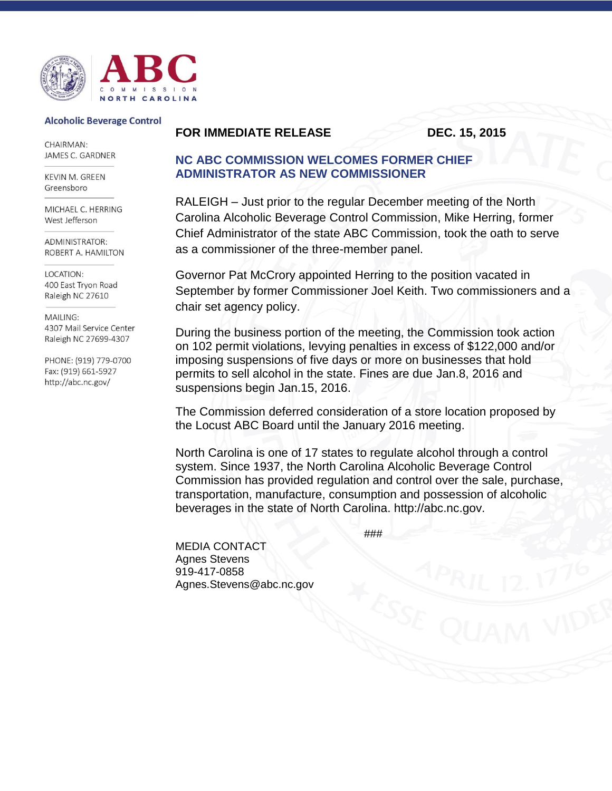

## **Alcoholic Beverage Control**

CHAIRMAN: JAMES C. GARDNER

KEVIN M. GREEN Greensboro

MICHAEL C. HERRING West Jefferson

ADMINISTRATOR· ROBERT A. HAMILTON

LOCATION: 400 East Tryon Road Raleigh NC 27610

MAILING: 4307 Mail Service Center Raleigh NC 27699-4307

PHONE: (919) 779-0700 Fax: (919) 661-5927 http://abc.nc.gov/

## **FOR IMMEDIATE RELEASE DEC. 15, 2015**

## **NC ABC COMMISSION WELCOMES FORMER CHIEF ADMINISTRATOR AS NEW COMMISSIONER**

RALEIGH – Just prior to the regular December meeting of the North Carolina Alcoholic Beverage Control Commission, Mike Herring, former Chief Administrator of the state ABC Commission, took the oath to serve as a commissioner of the three-member panel.

Governor Pat McCrory appointed Herring to the position vacated in September by former Commissioner Joel Keith. Two commissioners and a chair set agency policy.

During the business portion of the meeting, the Commission took action on 102 permit violations, levying penalties in excess of \$122,000 and/or imposing suspensions of five days or more on businesses that hold permits to sell alcohol in the state. Fines are due Jan.8, 2016 and suspensions begin Jan.15, 2016.

The Commission deferred consideration of a store location proposed by the Locust ABC Board until the January 2016 meeting.

North Carolina is one of 17 states to regulate alcohol through a control system. Since 1937, the North Carolina Alcoholic Beverage Control Commission has provided regulation and control over the sale, purchase, transportation, manufacture, consumption and possession of alcoholic beverages in the state of North Carolina. http://abc.nc.gov.

###

MEDIA CONTACT Agnes Stevens 919-417-0858 Agnes.Stevens@abc.nc.gov